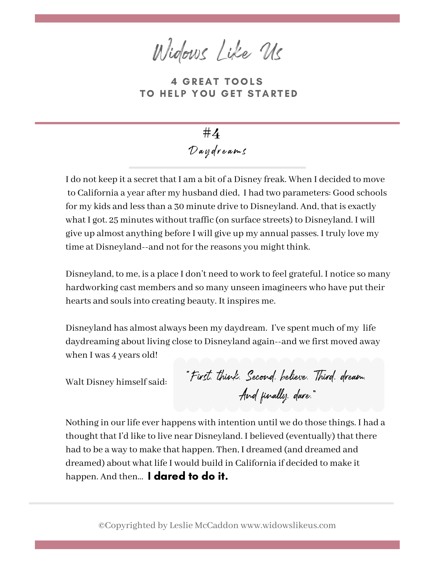Widows Like Us

**4 GREAT TOOLS** TO HELP YOU GET STARTED

D aydr ea m s **#4**

I do not keep it a secret that I am a bit of a Disney freak. When I decided to move to California a year after my husband died, I had two parameters: Good schools for my kids and less than a 30 minute drive to Disneyland. And, that is exactly what I got. 25 minutes without traffic (on surface streets) to Disneyland. I will give up almost anything before I will give up my annual passes. I truly love my time at Disneyland--and not for the reasons you might think.

Disneyland, to me, is a place I don't need to work to feel grateful. I notice so many hardworking cast members and so many unseen imagineers who have put their hearts and soulsinto creating beauty. It inspires me.

Disneyland has almost always been my daydream. I've spent much of my life daydreaming about living close to Disneyland again--and we first moved away when I was 4 years old!

Walt Disney himself said:

"First, think. Second, believe. Third, dream. And finally, dare."

Nothing in our life ever happens with intention until we do those things. I had a thought that I'd like to live near Disneyland. I believed (eventually) that there had to be a way to make that happen. Then, I dreamed (and dreamed and dreamed) about what life I would build in California if decided to make it happen. And then... I dared to do it.